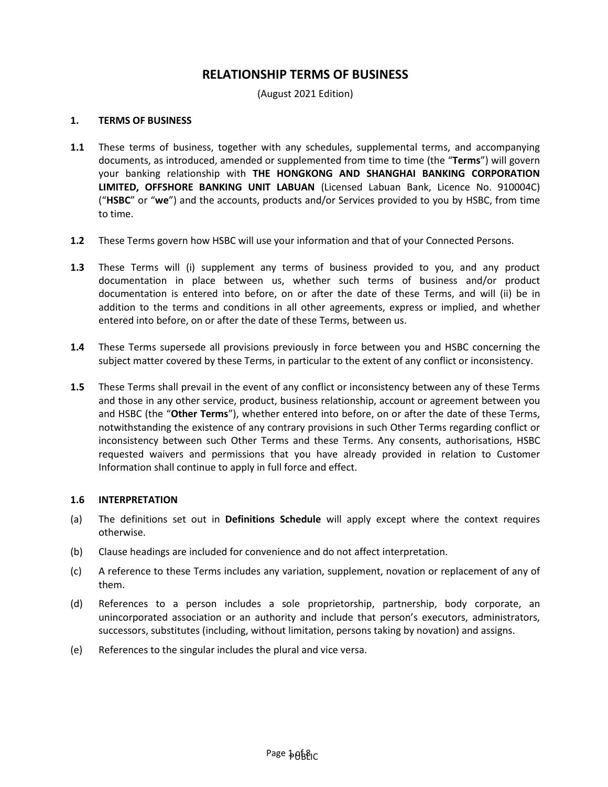# **RELATIONSHIP TERMS OF BUSINESS**

(August 2021 Edition)

#### **1. TERMS OF BUSINESS**

- **1.1** These terms of business, together with any schedules, supplemental terms, and accompanying documents, as introduced, amended or supplemented from time to time (the "**Terms**") will govern your banking relationship with **THE HONGKONG AND SHANGHAI BANKING CORPORATION LIMITED, OFFSHORE BANKING UNIT LABUAN** (Licensed Labuan Bank, Licence No. 910004C) ("**HSBC**" or "**we**") and the accounts, products and/or Services provided to you by HSBC, from time to time.
- **1.2** These Terms govern how HSBC will use your information and that of your Connected Persons.
- **1.3** These Terms will (i) supplement any terms of business provided to you, and any product documentation in place between us, whether such terms of business and/or product documentation is entered into before, on or after the date of these Terms, and will (ii) be in addition to the terms and conditions in all other agreements, express or implied, and whether entered into before, on or after the date of these Terms, between us.
- **1.4** These Terms supersede all provisions previously in force between you and HSBC concerning the subject matter covered by these Terms, in particular to the extent of any conflict or inconsistency.
- **1.5** These Terms shall prevail in the event of any conflict or inconsistency between any of these Terms and those in any other service, product, business relationship, account or agreement between you and HSBC (the "**Other Terms**"), whether entered into before, on or after the date of these Terms, notwithstanding the existence of any contrary provisions in such Other Terms regarding conflict or inconsistency between such Other Terms and these Terms. Any consents, authorisations, HSBC requested waivers and permissions that you have already provided in relation to Customer Information shall continue to apply in full force and effect.

#### **1.6 INTERPRETATION**

- (a) The definitions set out in **Definitions Schedule** will apply except where the context requires otherwise.
- (b) Clause headings are included for convenience and do not affect interpretation.
- (c) A reference to these Terms includes any variation, supplement, novation or replacement of any of them.
- (d) References to a person includes a sole proprietorship, partnership, body corporate, an unincorporated association or an authority and include that person's executors, administrators, successors, substitutes (including, without limitation, persons taking by novation) and assigns.
- (e) References to the singular includes the plural and vice versa.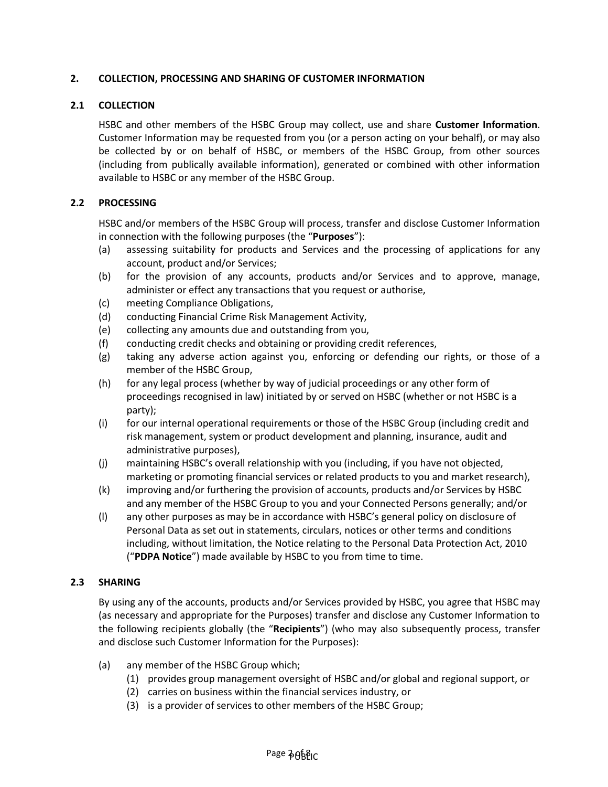## **2. COLLECTION, PROCESSING AND SHARING OF CUSTOMER INFORMATION**

## **2.1 COLLECTION**

HSBC and other members of the HSBC Group may collect, use and share **Customer Information**. Customer Information may be requested from you (or a person acting on your behalf), or may also be collected by or on behalf of HSBC, or members of the HSBC Group, from other sources (including from publically available information), generated or combined with other information available to HSBC or any member of the HSBC Group.

## **2.2 PROCESSING**

HSBC and/or members of the HSBC Group will process, transfer and disclose Customer Information in connection with the following purposes (the "**Purposes**"):

- (a) assessing suitability for products and Services and the processing of applications for any account, product and/or Services;
- (b) for the provision of any accounts, products and/or Services and to approve, manage, administer or effect any transactions that you request or authorise,
- (c) meeting Compliance Obligations,
- (d) conducting Financial Crime Risk Management Activity,
- (e) collecting any amounts due and outstanding from you,
- (f) conducting credit checks and obtaining or providing credit references,
- (g) taking any adverse action against you, enforcing or defending our rights, or those of a member of the HSBC Group,
- (h) for any legal process (whether by way of judicial proceedings or any other form of proceedings recognised in law) initiated by or served on HSBC (whether or not HSBC is a party);
- (i) for our internal operational requirements or those of the HSBC Group (including credit and risk management, system or product development and planning, insurance, audit and administrative purposes),
- (j) maintaining HSBC's overall relationship with you (including, if you have not objected, marketing or promoting financial services or related products to you and market research),
- (k) improving and/or furthering the provision of accounts, products and/or Services by HSBC and any member of the HSBC Group to you and your Connected Persons generally; and/or
- (l) any other purposes as may be in accordance with HSBC's general policy on disclosure of Personal Data as set out in statements, circulars, notices or other terms and conditions including, without limitation, the Notice relating to the Personal Data Protection Act, 2010 ("**PDPA Notice**") made available by HSBC to you from time to time.

#### **2.3 SHARING**

By using any of the accounts, products and/or Services provided by HSBC, you agree that HSBC may (as necessary and appropriate for the Purposes) transfer and disclose any Customer Information to the following recipients globally (the "**Recipients**") (who may also subsequently process, transfer and disclose such Customer Information for the Purposes):

- (a) any member of the HSBC Group which;
	- (1) provides group management oversight of HSBC and/or global and regional support, or
	- (2) carries on business within the financial services industry, or
	- (3) is a provider of services to other members of the HSBC Group;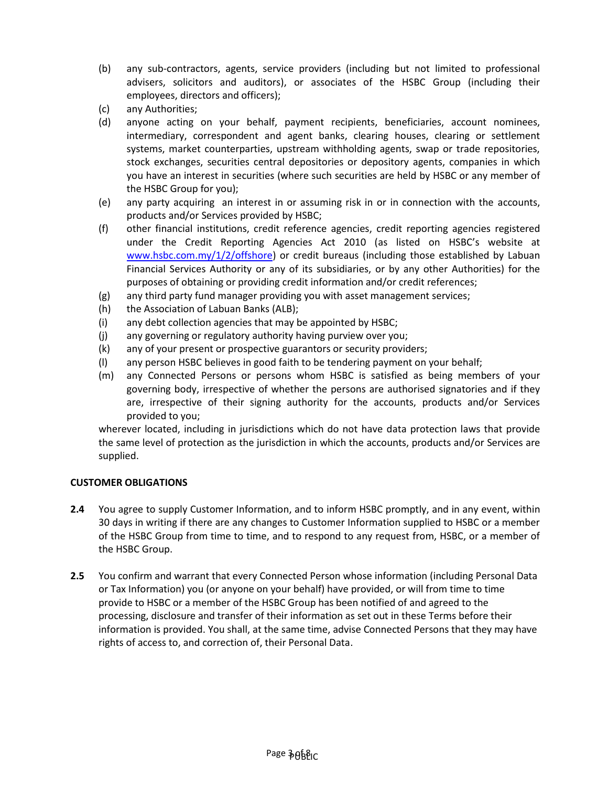- (b) any sub-contractors, agents, service providers (including but not limited to professional advisers, solicitors and auditors), or associates of the HSBC Group (including their employees, directors and officers);
- (c) any Authorities;
- (d) anyone acting on your behalf, payment recipients, beneficiaries, account nominees, intermediary, correspondent and agent banks, clearing houses, clearing or settlement systems, market counterparties, upstream withholding agents, swap or trade repositories, stock exchanges, securities central depositories or depository agents, companies in which you have an interest in securities (where such securities are held by HSBC or any member of the HSBC Group for you);
- (e) any party acquiring an interest in or assuming risk in or in connection with the accounts, products and/or Services provided by HSBC;
- (f) other financial institutions, credit reference agencies, credit reporting agencies registered under the Credit Reporting Agencies Act 2010 (as listed on HSBC's website at [www.hsbc.com.my/1/2/offshore\)](http://www.hsbc.com.my/1/2/offshore) or credit bureaus (including those established by Labuan Financial Services Authority or any of its subsidiaries, or by any other Authorities) for the purposes of obtaining or providing credit information and/or credit references;
- (g) any third party fund manager providing you with asset management services;
- (h) the Association of Labuan Banks (ALB);
- (i) any debt collection agencies that may be appointed by HSBC;
- (j) any governing or regulatory authority having purview over you;
- (k) any of your present or prospective guarantors or security providers;
- (l) any person HSBC believes in good faith to be tendering payment on your behalf;
- (m) any Connected Persons or persons whom HSBC is satisfied as being members of your governing body, irrespective of whether the persons are authorised signatories and if they are, irrespective of their signing authority for the accounts, products and/or Services provided to you;

wherever located, including in jurisdictions which do not have data protection laws that provide the same level of protection as the jurisdiction in which the accounts, products and/or Services are supplied.

#### **CUSTOMER OBLIGATIONS**

- **2.4** You agree to supply Customer Information, and to inform HSBC promptly, and in any event, within 30 days in writing if there are any changes to Customer Information supplied to HSBC or a member of the HSBC Group from time to time, and to respond to any request from, HSBC, or a member of the HSBC Group.
- **2.5** You confirm and warrant that every Connected Person whose information (including Personal Data or Tax Information) you (or anyone on your behalf) have provided, or will from time to time provide to HSBC or a member of the HSBC Group has been notified of and agreed to the processing, disclosure and transfer of their information as set out in these Terms before their information is provided. You shall, at the same time, advise Connected Persons that they may have rights of access to, and correction of, their Personal Data.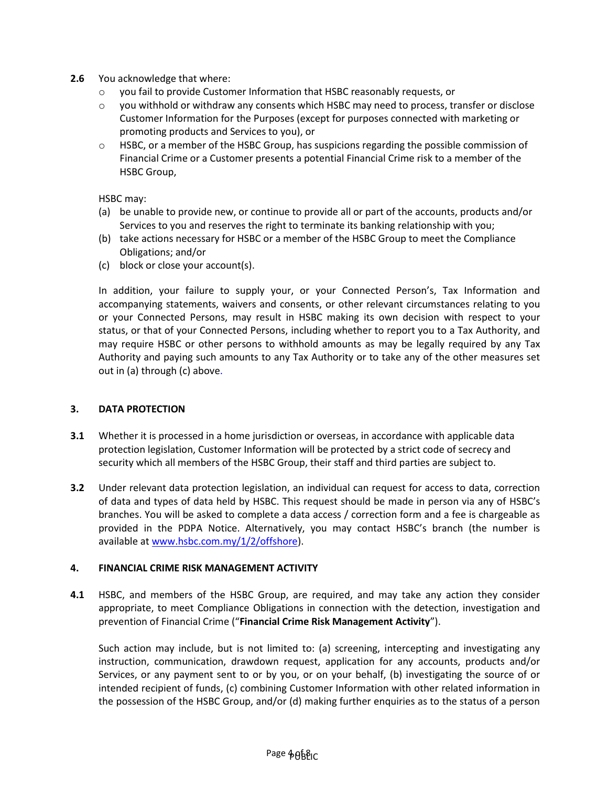- **2.6** You acknowledge that where:
	- o you fail to provide Customer Information that HSBC reasonably requests, or
	- o you withhold or withdraw any consents which HSBC may need to process, transfer or disclose Customer Information for the Purposes (except for purposes connected with marketing or promoting products and Services to you), or
	- o HSBC, or a member of the HSBC Group, has suspicions regarding the possible commission of Financial Crime or a Customer presents a potential Financial Crime risk to a member of the HSBC Group,

HSBC may:

- (a) be unable to provide new, or continue to provide all or part of the accounts, products and/or Services to you and reserves the right to terminate its banking relationship with you;
- (b) take actions necessary for HSBC or a member of the HSBC Group to meet the Compliance Obligations; and/or
- (c) block or close your account(s).

In addition, your failure to supply your, or your Connected Person's, Tax Information and accompanying statements, waivers and consents, or other relevant circumstances relating to you or your Connected Persons, may result in HSBC making its own decision with respect to your status, or that of your Connected Persons, including whether to report you to a Tax Authority, and may require HSBC or other persons to withhold amounts as may be legally required by any Tax Authority and paying such amounts to any Tax Authority or to take any of the other measures set out in (a) through (c) above.

## **3. DATA PROTECTION**

- **3.1** Whether it is processed in a home jurisdiction or overseas, in accordance with applicable data protection legislation, Customer Information will be protected by a strict code of secrecy and security which all members of the HSBC Group, their staff and third parties are subject to.
- **3.2** Under relevant data protection legislation, an individual can request for access to data, correction of data and types of data held by HSBC. This request should be made in person via any of HSBC's branches. You will be asked to complete a data access / correction form and a fee is chargeable as provided in the PDPA Notice. Alternatively, you may contact HSBC's branch (the number is available at [www.hsbc.com.my/1/2/offshore\)](http://www.hsbc.com.my/1/2/offshore).

#### **4. FINANCIAL CRIME RISK MANAGEMENT ACTIVITY**

**4.1** HSBC, and members of the HSBC Group, are required, and may take any action they consider appropriate, to meet Compliance Obligations in connection with the detection, investigation and prevention of Financial Crime ("**Financial Crime Risk Management Activity**").

Such action may include, but is not limited to: (a) screening, intercepting and investigating any instruction, communication, drawdown request, application for any accounts, products and/or Services, or any payment sent to or by you, or on your behalf, (b) investigating the source of or intended recipient of funds, (c) combining Customer Information with other related information in the possession of the HSBC Group, and/or (d) making further enquiries as to the status of a person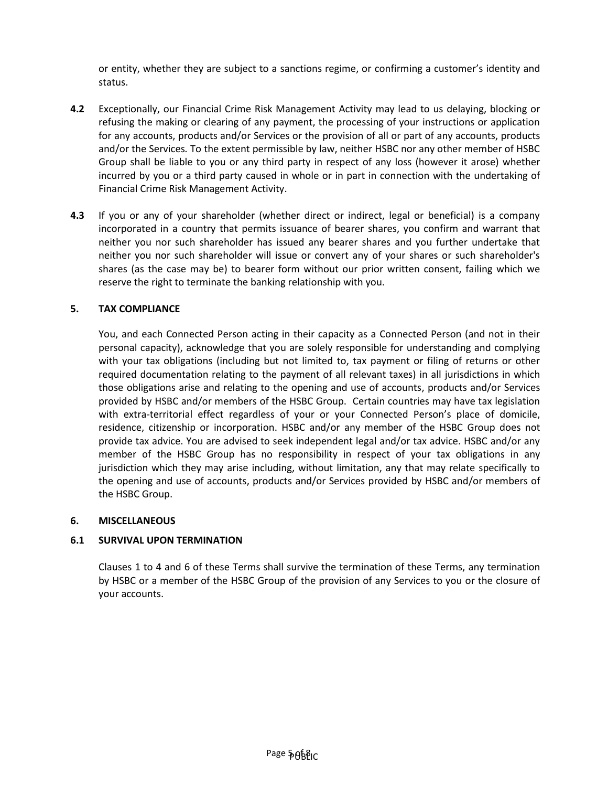or entity, whether they are subject to a sanctions regime, or confirming a customer's identity and status.

- **4.2** Exceptionally, our Financial Crime Risk Management Activity may lead to us delaying, blocking or refusing the making or clearing of any payment, the processing of your instructions or application for any accounts, products and/or Services or the provision of all or part of any accounts, products and/or the Services*.* To the extent permissible by law, neither HSBC nor any other member of HSBC Group shall be liable to you or any third party in respect of any loss (however it arose) whether incurred by you or a third party caused in whole or in part in connection with the undertaking of Financial Crime Risk Management Activity.
- **4.3** If you or any of your shareholder (whether direct or indirect, legal or beneficial) is a company incorporated in a country that permits issuance of bearer shares, you confirm and warrant that neither you nor such shareholder has issued any bearer shares and you further undertake that neither you nor such shareholder will issue or convert any of your shares or such shareholder's shares (as the case may be) to bearer form without our prior written consent, failing which we reserve the right to terminate the banking relationship with you.

## **5. TAX COMPLIANCE**

You, and each Connected Person acting in their capacity as a Connected Person (and not in their personal capacity), acknowledge that you are solely responsible for understanding and complying with your tax obligations (including but not limited to, tax payment or filing of returns or other required documentation relating to the payment of all relevant taxes) in all jurisdictions in which those obligations arise and relating to the opening and use of accounts, products and/or Services provided by HSBC and/or members of the HSBC Group. Certain countries may have tax legislation with extra-territorial effect regardless of your or your Connected Person's place of domicile, residence, citizenship or incorporation. HSBC and/or any member of the HSBC Group does not provide tax advice. You are advised to seek independent legal and/or tax advice. HSBC and/or any member of the HSBC Group has no responsibility in respect of your tax obligations in any jurisdiction which they may arise including, without limitation, any that may relate specifically to the opening and use of accounts, products and/or Services provided by HSBC and/or members of the HSBC Group.

#### **6. MISCELLANEOUS**

#### **6.1 SURVIVAL UPON TERMINATION**

Clauses 1 to 4 and 6 of these Terms shall survive the termination of these Terms, any termination by HSBC or a member of the HSBC Group of the provision of any Services to you or the closure of your accounts.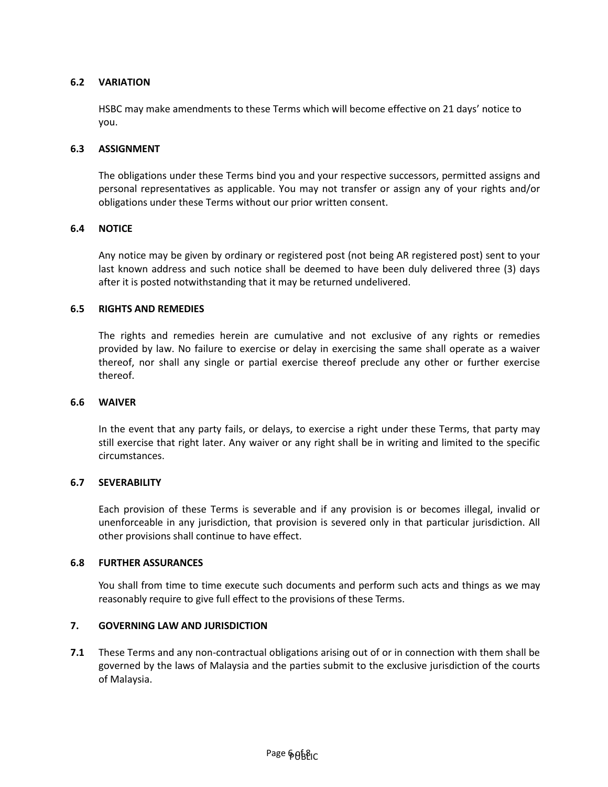## **6.2 VARIATION**

HSBC may make amendments to these Terms which will become effective on 21 days' notice to you.

#### **6.3 ASSIGNMENT**

The obligations under these Terms bind you and your respective successors, permitted assigns and personal representatives as applicable. You may not transfer or assign any of your rights and/or obligations under these Terms without our prior written consent.

#### **6.4 NOTICE**

Any notice may be given by ordinary or registered post (not being AR registered post) sent to your last known address and such notice shall be deemed to have been duly delivered three (3) days after it is posted notwithstanding that it may be returned undelivered.

#### **6.5 RIGHTS AND REMEDIES**

The rights and remedies herein are cumulative and not exclusive of any rights or remedies provided by law. No failure to exercise or delay in exercising the same shall operate as a waiver thereof, nor shall any single or partial exercise thereof preclude any other or further exercise thereof.

#### **6.6 WAIVER**

In the event that any party fails, or delays, to exercise a right under these Terms, that party may still exercise that right later. Any waiver or any right shall be in writing and limited to the specific circumstances.

#### **6.7 SEVERABILITY**

Each provision of these Terms is severable and if any provision is or becomes illegal, invalid or unenforceable in any jurisdiction, that provision is severed only in that particular jurisdiction. All other provisions shall continue to have effect.

### **6.8 FURTHER ASSURANCES**

You shall from time to time execute such documents and perform such acts and things as we may reasonably require to give full effect to the provisions of these Terms.

#### **7. GOVERNING LAW AND JURISDICTION**

**7.1** These Terms and any non-contractual obligations arising out of or in connection with them shall be governed by the laws of Malaysia and the parties submit to the exclusive jurisdiction of the courts of Malaysia.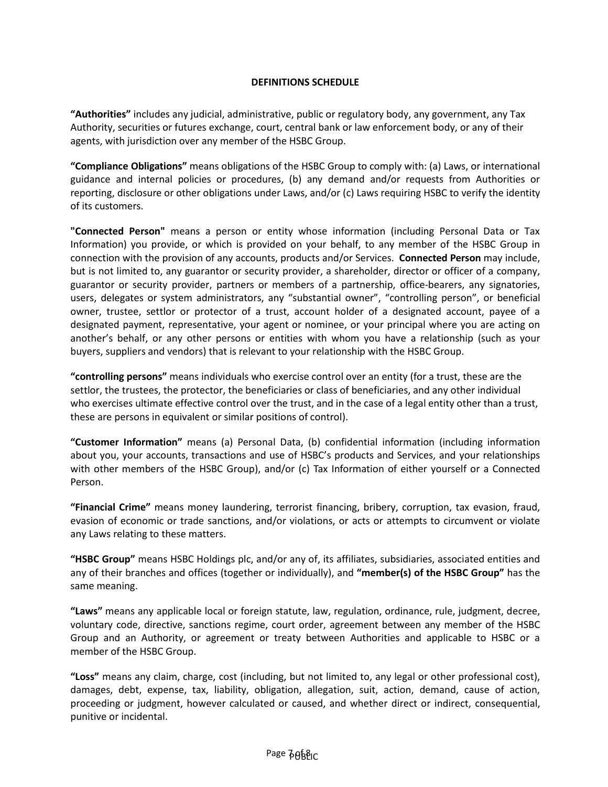## **DEFINITIONS SCHEDULE**

**"Authorities"** includes any judicial, administrative, public or regulatory body, any government, any Tax Authority, securities or futures exchange, court, central bank or law enforcement body, or any of their agents, with jurisdiction over any member of the HSBC Group.

**"Compliance Obligations"** means obligations of the HSBC Group to comply with: (a) Laws, or international guidance and internal policies or procedures, (b) any demand and/or requests from Authorities or reporting, disclosure or other obligations under Laws, and/or (c) Laws requiring HSBC to verify the identity of its customers.

**"Connected Person"** means a person or entity whose information (including Personal Data or Tax Information) you provide, or which is provided on your behalf, to any member of the HSBC Group in connection with the provision of any accounts, products and/or Services. **Connected Person** may include, but is not limited to, any guarantor or security provider, a shareholder, director or officer of a company, guarantor or security provider, partners or members of a partnership, office-bearers, any signatories, users, delegates or system administrators, any "substantial owner", "controlling person", or beneficial owner, trustee, settlor or protector of a trust, account holder of a designated account, payee of a designated payment, representative, your agent or nominee, or your principal where you are acting on another's behalf, or any other persons or entities with whom you have a relationship (such as your buyers, suppliers and vendors) that is relevant to your relationship with the HSBC Group.

**"controlling persons"** means individuals who exercise control over an entity (for a trust, these are the settlor, the trustees, the protector, the beneficiaries or class of beneficiaries, and any other individual who exercises ultimate effective control over the trust, and in the case of a legal entity other than a trust, these are persons in equivalent or similar positions of control).

**"Customer Information"** means (a) Personal Data, (b) confidential information (including information about you, your accounts, transactions and use of HSBC's products and Services, and your relationships with other members of the HSBC Group), and/or (c) Tax Information of either yourself or a Connected Person.

**"Financial Crime"** means money laundering, terrorist financing, bribery, corruption, tax evasion, fraud, evasion of economic or trade sanctions, and/or violations, or acts or attempts to circumvent or violate any Laws relating to these matters.

**"HSBC Group"** means HSBC Holdings plc, and/or any of, its affiliates, subsidiaries, associated entities and any of their branches and offices (together or individually), and **"member(s) of the HSBC Group"** has the same meaning.

**"Laws"** means any applicable local or foreign statute, law, regulation, ordinance, rule, judgment, decree, voluntary code, directive, sanctions regime, court order, agreement between any member of the HSBC Group and an Authority, or agreement or treaty between Authorities and applicable to HSBC or a member of the HSBC Group.

**"Loss"** means any claim, charge, cost (including, but not limited to, any legal or other professional cost), damages, debt, expense, tax, liability, obligation, allegation, suit, action, demand, cause of action, proceeding or judgment, however calculated or caused, and whether direct or indirect, consequential, punitive or incidental.